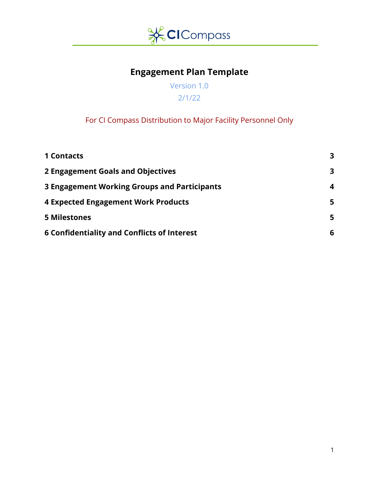

# **Engagement Plan Template**

Version 1.0 2/1/22

## For CI Compass Distribution to Major Facility Personnel Only

| <b>1 Contacts</b>                                  | 3 |
|----------------------------------------------------|---|
| 2 Engagement Goals and Objectives                  | 3 |
| 3 Engagement Working Groups and Participants       | 4 |
| <b>4 Expected Engagement Work Products</b>         | 5 |
| <b>5 Milestones</b>                                | 5 |
| <b>6 Confidentiality and Conflicts of Interest</b> | 6 |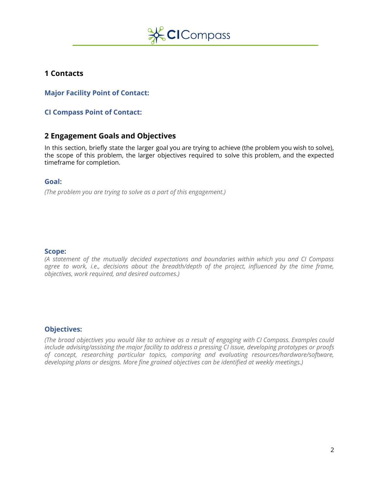

### <span id="page-1-0"></span>**1 Contacts**

**Major Facility Point of Contact:**

<span id="page-1-1"></span>**CI Compass Point of Contact:**

### **2 Engagement Goals and Objectives**

In this section, briefly state the larger goal you are trying to achieve (the problem you wish to solve), the scope of this problem, the larger objectives required to solve this problem, and the expected timeframe for completion.

#### **Goal:**

*(The problem you are trying to solve as a part of this engagement.)*

#### **Scope:**

*(A statement of the mutually decided expectations and boundaries within which you and CI Compass agree to work, i.e., decisions about the breadth/depth of the project, influenced by the time frame, objectives, work required, and desired outcomes.)*

#### **Objectives:**

(The broad objectives you would like to achieve as a result of engaging with CI Compass. Examples could *include advising/assisting the major facility to address a pressing CI issue, developing prototypes or proofs of concept, researching particular topics, comparing and evaluating resources/hardware/software, developing plans or designs. More fine grained objectives can be identified at weekly meetings.)*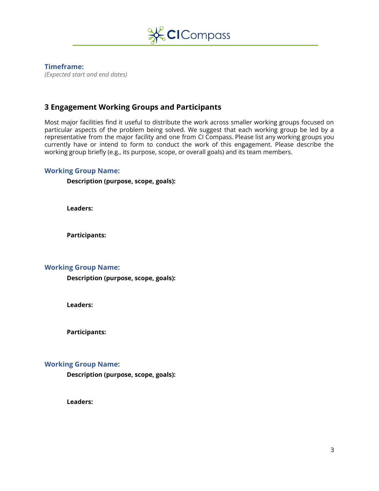

### **Timeframe:**

*(Expected start and end dates)*

### <span id="page-2-0"></span>**3 Engagement Working Groups and Participants**

Most major facilities find it useful to distribute the work across smaller working groups focused on particular aspects of the problem being solved. We suggest that each working group be led by a representative from the major facility and one from CI Compass. Please list any working groups you currently have or intend to form to conduct the work of this engagement. Please describe the working group briefly (e.g., its purpose, scope, or overall goals) and its team members.

#### **Working Group Name:**

**Description (purpose, scope, goals):**

**Leaders:**

**Participants:**

#### **Working Group Name:**

**Description (purpose, scope, goals):**

**Leaders:**

**Participants:**

#### **Working Group Name:**

**Description (purpose, scope, goals):**

**Leaders:**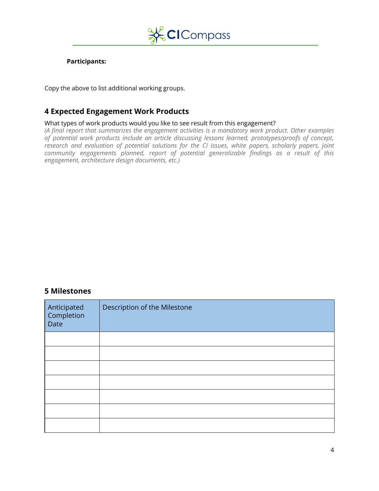

#### **Participants:**

Copy the above to list additional working groups.

### <span id="page-3-0"></span>**4 Expected Engagement Work Products**

#### What types of work products would you like to see result from this engagement?

*(A final report that summarizes the engagement activities is a mandatory work product. Other examples of potential work products include an article discussing lessons learned, prototypes/proofs of concept, research and evaluation of potential solutions for the CI issues, white papers, scholarly papers, joint community engagements planned, report of potential generalizable findings as a result of this engagement, architecture design documents, etc.)*

### <span id="page-3-1"></span>**5 Milestones**

| Anticipated<br>Completion<br>Date | Description of the Milestone |
|-----------------------------------|------------------------------|
|                                   |                              |
|                                   |                              |
|                                   |                              |
|                                   |                              |
|                                   |                              |
|                                   |                              |
|                                   |                              |